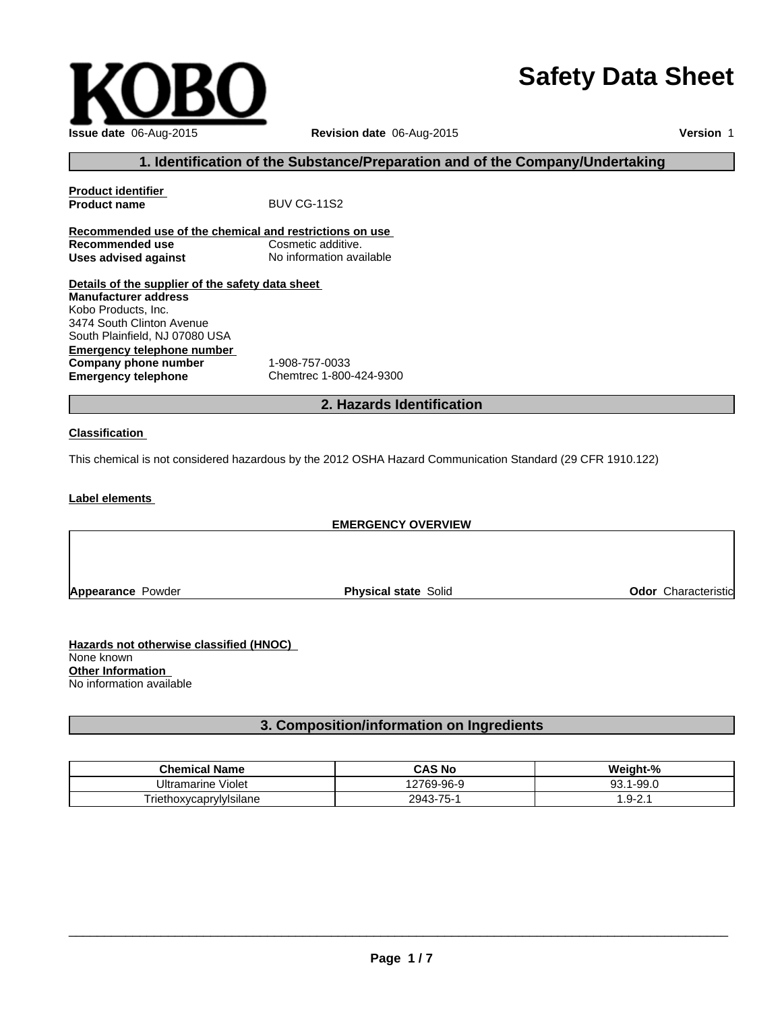# **Safety Data Sheet**

| Issue date 06-Aug-2015 |
|------------------------|

**Issue date** 06-Aug-2015 **Revision date** 06-Aug-2015

**Version** 1

### **1. Identification of the Substance/Preparation and of the Company/Undertaking**

| <b>Product identifier</b>                               |                                                                                                            |
|---------------------------------------------------------|------------------------------------------------------------------------------------------------------------|
| <b>Product name</b>                                     | <b>BUV CG-11S2</b>                                                                                         |
| Recommended use of the chemical and restrictions on use |                                                                                                            |
| Recommended use                                         | Cosmetic additive.                                                                                         |
| <b>Uses advised against</b>                             | No information available                                                                                   |
| Details of the supplier of the safety data sheet        |                                                                                                            |
| <b>Manufacturer address</b>                             |                                                                                                            |
| Kobo Products, Inc.                                     |                                                                                                            |
| 3474 South Clinton Avenue                               |                                                                                                            |
| South Plainfield, NJ 07080 USA                          |                                                                                                            |
| Emergency telephone number                              |                                                                                                            |
| Company phone number                                    | 1-908-757-0033                                                                                             |
| <b>Emergency telephone</b>                              | Chemtrec 1-800-424-9300                                                                                    |
|                                                         | 2. Hazards Identification                                                                                  |
| <b>Classification</b>                                   |                                                                                                            |
|                                                         |                                                                                                            |
|                                                         | This chemical is not considered hazardous by the 2012 OSHA Hazard Communication Standard (29 CFR 1910.122) |
|                                                         |                                                                                                            |
| Label elements                                          |                                                                                                            |

**EMERGENCY OVERVIEW Appearance Powder Community Community Physical state Solid Community Community Codor Characteristic** 

**Hazards not otherwise classified (HNOC)**  None known **Other Information**  No information available

## **3. Composition/information on Ingredients**

| <b>Chemical Name</b>         | CAS No                               | <br>ht-%<br>Weiar   |
|------------------------------|--------------------------------------|---------------------|
| .<br>Violet<br>Ultramarine ' | ი 769-96-ყ                           | $-99.0$<br>ດຈ<br>ັບ |
| FriethoxvcaprvlvIsilane      | 7 <sub>r</sub><br>2943<br>- 61<br>÷- | . .                 |

 $\overline{\phantom{a}}$  ,  $\overline{\phantom{a}}$  ,  $\overline{\phantom{a}}$  ,  $\overline{\phantom{a}}$  ,  $\overline{\phantom{a}}$  ,  $\overline{\phantom{a}}$  ,  $\overline{\phantom{a}}$  ,  $\overline{\phantom{a}}$  ,  $\overline{\phantom{a}}$  ,  $\overline{\phantom{a}}$  ,  $\overline{\phantom{a}}$  ,  $\overline{\phantom{a}}$  ,  $\overline{\phantom{a}}$  ,  $\overline{\phantom{a}}$  ,  $\overline{\phantom{a}}$  ,  $\overline{\phantom{a}}$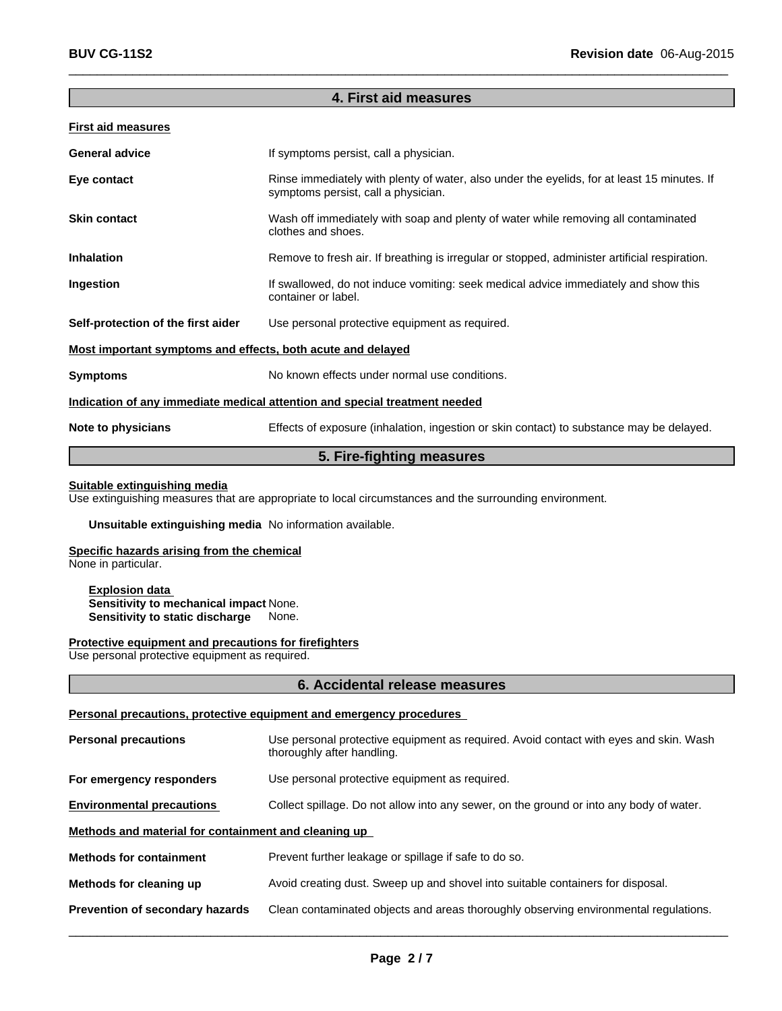### **4. First aid measures**

 $\overline{\phantom{a}}$  ,  $\overline{\phantom{a}}$  ,  $\overline{\phantom{a}}$  ,  $\overline{\phantom{a}}$  ,  $\overline{\phantom{a}}$  ,  $\overline{\phantom{a}}$  ,  $\overline{\phantom{a}}$  ,  $\overline{\phantom{a}}$  ,  $\overline{\phantom{a}}$  ,  $\overline{\phantom{a}}$  ,  $\overline{\phantom{a}}$  ,  $\overline{\phantom{a}}$  ,  $\overline{\phantom{a}}$  ,  $\overline{\phantom{a}}$  ,  $\overline{\phantom{a}}$  ,  $\overline{\phantom{a}}$ 

#### **First aid measures**

| <b>General advice</b>                                       | If symptoms persist, call a physician.                                                                                             |
|-------------------------------------------------------------|------------------------------------------------------------------------------------------------------------------------------------|
| Eye contact                                                 | Rinse immediately with plenty of water, also under the eyelids, for at least 15 minutes. If<br>symptoms persist, call a physician. |
| <b>Skin contact</b>                                         | Wash off immediately with soap and plenty of water while removing all contaminated<br>clothes and shoes.                           |
| <b>Inhalation</b>                                           | Remove to fresh air. If breathing is irregular or stopped, administer artificial respiration.                                      |
| Ingestion                                                   | If swallowed, do not induce vomiting: seek medical advice immediately and show this<br>container or label.                         |
| Self-protection of the first aider                          | Use personal protective equipment as required.                                                                                     |
| Most important symptoms and effects, both acute and delayed |                                                                                                                                    |
| <b>Symptoms</b>                                             | No known effects under normal use conditions.                                                                                      |
|                                                             | Indication of any immediate medical attention and special treatment needed                                                         |
| Note to physicians                                          | Effects of exposure (inhalation, ingestion or skin contact) to substance may be delayed.                                           |
|                                                             |                                                                                                                                    |

### **5. Fire-fighting measures**

#### **Suitable extinguishing media**

Use extinguishing measures that are appropriate to local circumstances and the surrounding environment.

#### **Unsuitable extinguishing media** No information available.

#### **Specific hazards arising from the chemical**

None in particular.

#### **Explosion data Sensitivity to mechanical impact** None. **Sensitivity to static discharge** None.

#### **Protective equipment and precautions for firefighters**

Use personal protective equipment as required.

#### **6. Accidental release measures**

#### **Personal precautions, protective equipment and emergency procedures**

| <b>Personal precautions</b>                          | Use personal protective equipment as required. Avoid contact with eyes and skin. Wash<br>thoroughly after handling. |
|------------------------------------------------------|---------------------------------------------------------------------------------------------------------------------|
| For emergency responders                             | Use personal protective equipment as required.                                                                      |
| <b>Environmental precautions</b>                     | Collect spillage. Do not allow into any sewer, on the ground or into any body of water.                             |
| Methods and material for containment and cleaning up |                                                                                                                     |
| <b>Methods for containment</b>                       | Prevent further leakage or spillage if safe to do so.                                                               |
| Methods for cleaning up                              | Avoid creating dust. Sweep up and shovel into suitable containers for disposal.                                     |
| Prevention of secondary hazards                      | Clean contaminated objects and areas thoroughly observing environmental regulations.                                |
|                                                      |                                                                                                                     |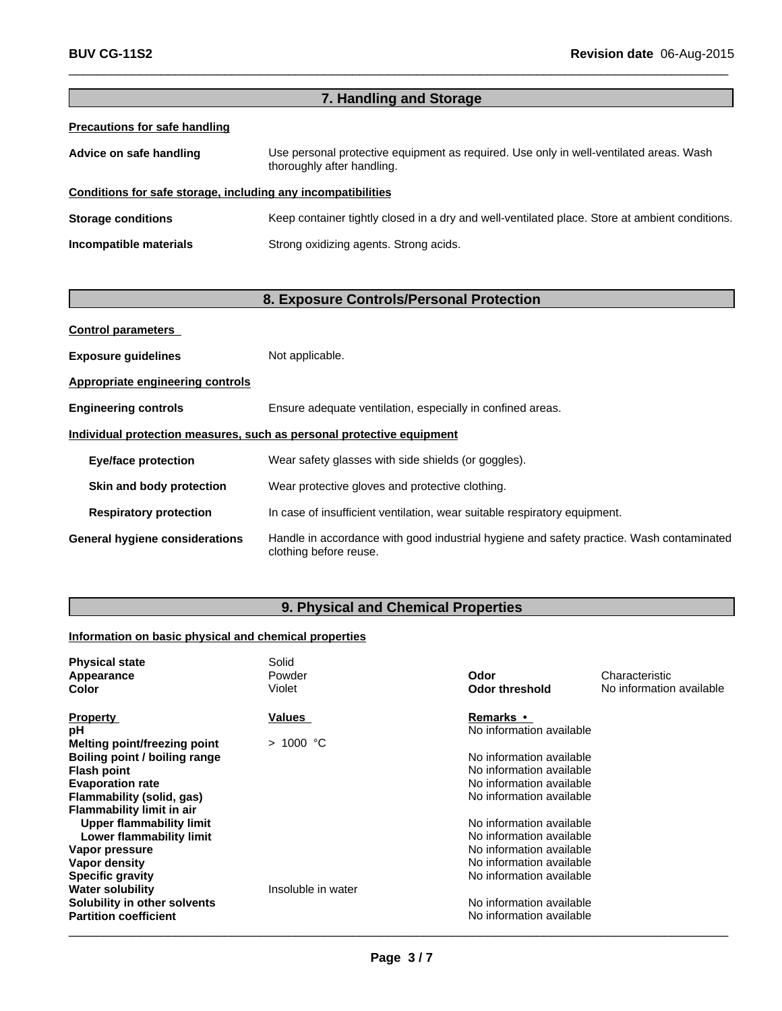|                                                              | 7. Handling and Storage                                                                                              |
|--------------------------------------------------------------|----------------------------------------------------------------------------------------------------------------------|
| <b>Precautions for safe handling</b>                         |                                                                                                                      |
| Advice on safe handling                                      | Use personal protective equipment as required. Use only in well-ventilated areas. Wash<br>thoroughly after handling. |
| Conditions for safe storage, including any incompatibilities |                                                                                                                      |
| <b>Storage conditions</b>                                    | Keep container tightly closed in a dry and well-ventilated place. Store at ambient conditions.                       |
| Incompatible materials                                       | Strong oxidizing agents. Strong acids.                                                                               |
|                                                              |                                                                                                                      |

 $\_$  ,  $\_$  ,  $\_$  ,  $\_$  ,  $\_$  ,  $\_$  ,  $\_$  ,  $\_$  ,  $\_$  ,  $\_$  ,  $\_$  ,  $\_$  ,  $\_$  ,  $\_$  ,  $\_$  ,  $\_$  ,  $\_$  ,  $\_$  ,  $\_$  ,  $\_$  ,  $\_$  ,  $\_$  ,  $\_$  ,  $\_$  ,  $\_$  ,  $\_$  ,  $\_$  ,  $\_$  ,  $\_$  ,  $\_$  ,  $\_$  ,  $\_$  ,  $\_$  ,  $\_$  ,  $\_$  ,  $\_$  ,  $\_$  ,

# **8. Exposure Controls/Personal Protection**

| <b>Control parameters</b>                                             |                                                                                                                    |  |
|-----------------------------------------------------------------------|--------------------------------------------------------------------------------------------------------------------|--|
| <b>Exposure guidelines</b>                                            | Not applicable.                                                                                                    |  |
| Appropriate engineering controls                                      |                                                                                                                    |  |
| <b>Engineering controls</b>                                           | Ensure adequate ventilation, especially in confined areas.                                                         |  |
| Individual protection measures, such as personal protective equipment |                                                                                                                    |  |
| <b>Eye/face protection</b>                                            | Wear safety glasses with side shields (or goggles).                                                                |  |
| Skin and body protection                                              | Wear protective gloves and protective clothing.                                                                    |  |
| <b>Respiratory protection</b>                                         | In case of insufficient ventilation, wear suitable respiratory equipment.                                          |  |
| <b>General hygiene considerations</b>                                 | Handle in accordance with good industrial hygiene and safety practice. Wash contaminated<br>clothing before reuse. |  |

# **9. Physical and Chemical Properties**

# **Information on basic physical and chemical properties**

| <b>Physical state</b><br>Appearance | Solid<br>Powder    | Odor                     | Characteristic           |
|-------------------------------------|--------------------|--------------------------|--------------------------|
| Color                               | Violet             | <b>Odor threshold</b>    | No information available |
| <b>Property</b>                     | Values             | <b>Remarks</b> •         |                          |
| рH                                  |                    | No information available |                          |
| Melting point/freezing point        | $>1000$ °C         |                          |                          |
| Boiling point / boiling range       |                    | No information available |                          |
| <b>Flash point</b>                  |                    | No information available |                          |
| <b>Evaporation rate</b>             |                    | No information available |                          |
| Flammability (solid, gas)           |                    | No information available |                          |
| <b>Flammability limit in air</b>    |                    |                          |                          |
| <b>Upper flammability limit</b>     |                    | No information available |                          |
| Lower flammability limit            |                    | No information available |                          |
| Vapor pressure                      |                    | No information available |                          |
| Vapor density                       |                    | No information available |                          |
| <b>Specific gravity</b>             |                    | No information available |                          |
| <b>Water solubility</b>             | Insoluble in water |                          |                          |
| Solubility in other solvents        |                    | No information available |                          |
| <b>Partition coefficient</b>        |                    | No information available |                          |
|                                     |                    |                          |                          |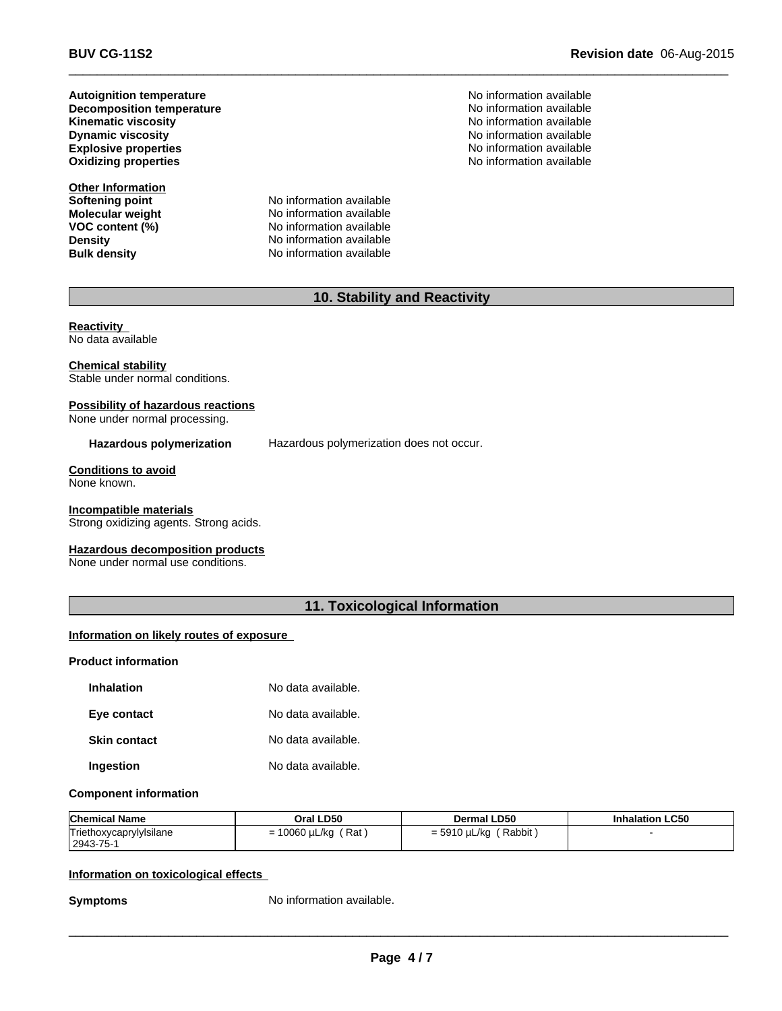**Dynamic viscosity Decomposition temperature Oxidizing properties Autoignition temperature**

**Other Information Softening point<br>Molecular weight** 

**Molecular weight** No information available<br> **VOC content (%)** No information available **VOC content (%)** No information available<br>
Density<br>
No information available **Density Density No information available**<br> **Bulk density No information available No information available**  No information available No information available **Explosive properties** No information available No information available No information available **No information available** 

 $\_$  ,  $\_$  ,  $\_$  ,  $\_$  ,  $\_$  ,  $\_$  ,  $\_$  ,  $\_$  ,  $\_$  ,  $\_$  ,  $\_$  ,  $\_$  ,  $\_$  ,  $\_$  ,  $\_$  ,  $\_$  ,  $\_$  ,  $\_$  ,  $\_$  ,  $\_$  ,  $\_$  ,  $\_$  ,  $\_$  ,  $\_$  ,  $\_$  ,  $\_$  ,  $\_$  ,  $\_$  ,  $\_$  ,  $\_$  ,  $\_$  ,  $\_$  ,  $\_$  ,  $\_$  ,  $\_$  ,  $\_$  ,  $\_$  ,

### **10. Stability and Reactivity**

**Reactivity**  No data available

#### **Chemical stability** Stable under normal conditions.

### **Possibility of hazardous reactions**

None under normal processing.

#### **Hazardous polymerization** Hazardous polymerization does not occur.

# **Conditions to avoid**

None known.

#### **Incompatible materials**

Strong oxidizing agents. Strong acids.

#### **Hazardous decomposition products**

None under normal use conditions.

### **11. Toxicological Information**

#### **Information on likely routes of exposure**

#### **Product information**

| <b>Inhalation</b>   | No data available. |
|---------------------|--------------------|
| Eye contact         | No data available. |
| <b>Skin contact</b> | No data available. |
| Ingestion           | No data available. |

#### **Component information**

| <b>Chemical Name</b>    | Oral LD50            | <b>Dermal LD50</b>     | <b>Inhalation LC50</b> |
|-------------------------|----------------------|------------------------|------------------------|
| Triethoxycaprylylsilane | Rat<br>= 10060 µL/kg | Rabbit<br>= 5910 µL/kg |                        |
| 2943-75-1               |                      |                        |                        |

#### **Information on toxicological effects**

**Symptoms** No information available.

 $\_$  ,  $\_$  ,  $\_$  ,  $\_$  ,  $\_$  ,  $\_$  ,  $\_$  ,  $\_$  ,  $\_$  ,  $\_$  ,  $\_$  ,  $\_$  ,  $\_$  ,  $\_$  ,  $\_$  ,  $\_$  ,  $\_$  ,  $\_$  ,  $\_$  ,  $\_$  ,  $\_$  ,  $\_$  ,  $\_$  ,  $\_$  ,  $\_$  ,  $\_$  ,  $\_$  ,  $\_$  ,  $\_$  ,  $\_$  ,  $\_$  ,  $\_$  ,  $\_$  ,  $\_$  ,  $\_$  ,  $\_$  ,  $\_$  ,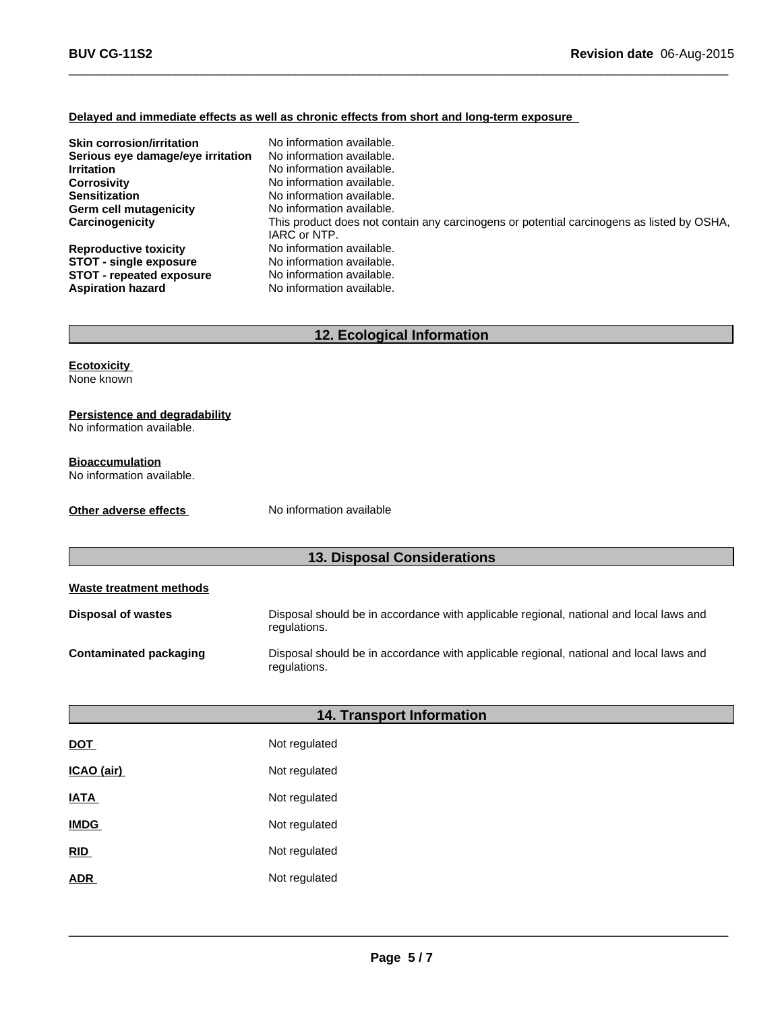#### **Delayed and immediate effects as well as chronic effects from short and long-term exposure**

| <b>Skin corrosion/irritation</b>  | No information available.                                                                                 |
|-----------------------------------|-----------------------------------------------------------------------------------------------------------|
| Serious eye damage/eye irritation | No information available.                                                                                 |
| <b>Irritation</b>                 | No information available.                                                                                 |
| <b>Corrosivity</b>                | No information available.                                                                                 |
| <b>Sensitization</b>              | No information available.                                                                                 |
| Germ cell mutagenicity            | No information available.                                                                                 |
| Carcinogenicity                   | This product does not contain any carcinogens or potential carcinogens as listed by OSHA,<br>IARC or NTP. |
| <b>Reproductive toxicity</b>      | No information available.                                                                                 |
| <b>STOT - single exposure</b>     | No information available.                                                                                 |
| <b>STOT - repeated exposure</b>   | No information available.                                                                                 |
| <b>Aspiration hazard</b>          | No information available.                                                                                 |

 $\_$  ,  $\_$  ,  $\_$  ,  $\_$  ,  $\_$  ,  $\_$  ,  $\_$  ,  $\_$  ,  $\_$  ,  $\_$  ,  $\_$  ,  $\_$  ,  $\_$  ,  $\_$  ,  $\_$  ,  $\_$  ,  $\_$  ,  $\_$  ,  $\_$  ,  $\_$  ,  $\_$  ,  $\_$  ,  $\_$  ,  $\_$  ,  $\_$  ,  $\_$  ,  $\_$  ,  $\_$  ,  $\_$  ,  $\_$  ,  $\_$  ,  $\_$  ,  $\_$  ,  $\_$  ,  $\_$  ,  $\_$  ,  $\_$  ,

### **12. Ecological Information**

# **Ecotoxicity**

None known

#### **Persistence and degradability**

No information available.

#### **Bioaccumulation**

No information available.

**Other adverse effects** No information available

# **13. Disposal Considerations**

| Waste treatment methods |                                                                                                        |
|-------------------------|--------------------------------------------------------------------------------------------------------|
| Disposal of wastes      | Disposal should be in accordance with applicable regional, national and local laws and<br>regulations. |
| Contaminated packaging  | Disposal should be in accordance with applicable regional, national and local laws and<br>regulations. |

# **14. Transport Information**

| <u>DOT</u>  | Not regulated |
|-------------|---------------|
| ICAO (air)  | Not regulated |
| <b>IATA</b> | Not regulated |
| <b>IMDG</b> | Not regulated |
| <b>RID</b>  | Not regulated |
| <b>ADR</b>  | Not regulated |

 $\_$  ,  $\_$  ,  $\_$  ,  $\_$  ,  $\_$  ,  $\_$  ,  $\_$  ,  $\_$  ,  $\_$  ,  $\_$  ,  $\_$  ,  $\_$  ,  $\_$  ,  $\_$  ,  $\_$  ,  $\_$  ,  $\_$  ,  $\_$  ,  $\_$  ,  $\_$  ,  $\_$  ,  $\_$  ,  $\_$  ,  $\_$  ,  $\_$  ,  $\_$  ,  $\_$  ,  $\_$  ,  $\_$  ,  $\_$  ,  $\_$  ,  $\_$  ,  $\_$  ,  $\_$  ,  $\_$  ,  $\_$  ,  $\_$  ,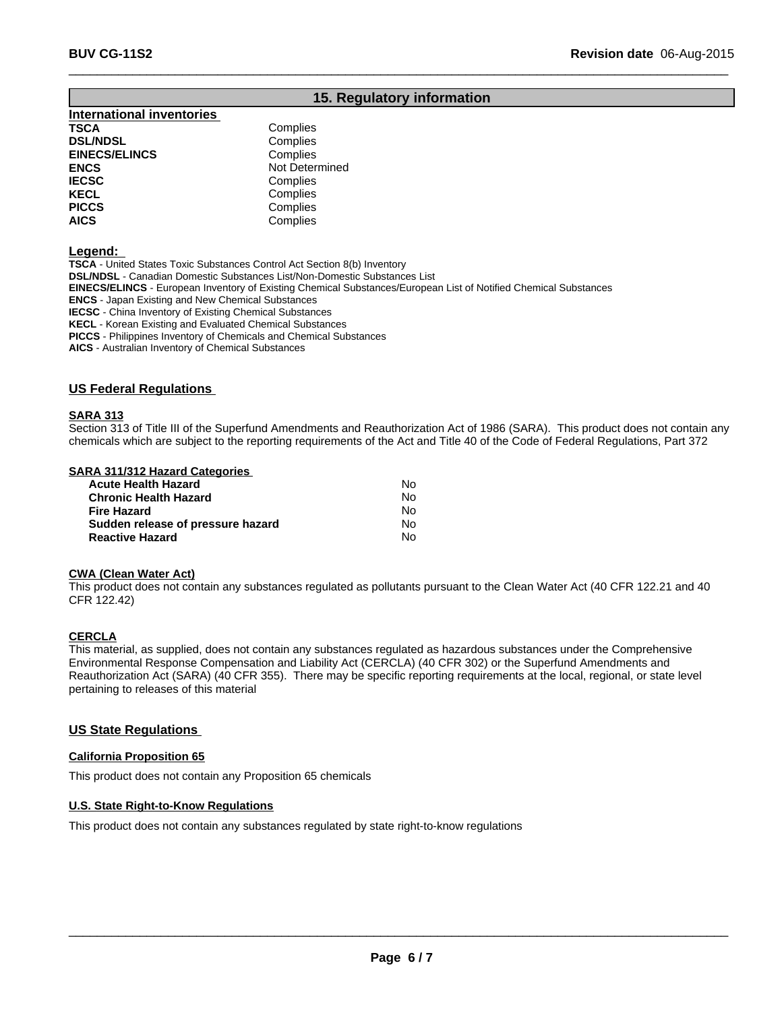### **15. Regulatory information**

 $\_$  ,  $\_$  ,  $\_$  ,  $\_$  ,  $\_$  ,  $\_$  ,  $\_$  ,  $\_$  ,  $\_$  ,  $\_$  ,  $\_$  ,  $\_$  ,  $\_$  ,  $\_$  ,  $\_$  ,  $\_$  ,  $\_$  ,  $\_$  ,  $\_$  ,  $\_$  ,  $\_$  ,  $\_$  ,  $\_$  ,  $\_$  ,  $\_$  ,  $\_$  ,  $\_$  ,  $\_$  ,  $\_$  ,  $\_$  ,  $\_$  ,  $\_$  ,  $\_$  ,  $\_$  ,  $\_$  ,  $\_$  ,  $\_$  ,

# **International inventories TSCA** Complies

| Complies       |  |
|----------------|--|
| Complies       |  |
| Not Determined |  |
| Complies       |  |
| Complies       |  |
| Complies       |  |
| Complies       |  |
|                |  |

**Legend:** 

**TSCA** - United States Toxic Substances Control Act Section 8(b) Inventory **DSL/NDSL** - Canadian Domestic Substances List/Non-Domestic Substances List **EINECS/ELINCS** - European Inventory of Existing Chemical Substances/European List of Notified Chemical Substances **ENCS** - Japan Existing and New Chemical Substances **IECSC** - China Inventory of Existing Chemical Substances **KECL** - Korean Existing and Evaluated Chemical Substances

**PICCS** - Philippines Inventory of Chemicals and Chemical Substances

**AICS** - Australian Inventory of Chemical Substances

#### **US Federal Regulations**

#### **SARA 313**

Section 313 of Title III of the Superfund Amendments and Reauthorization Act of 1986 (SARA). This product does not contain any chemicals which are subject to the reporting requirements of the Act and Title 40 of the Code of Federal Regulations, Part 372

#### **SARA 311/312 Hazard Categories**

| Acute Health Hazard               | No. |  |
|-----------------------------------|-----|--|
| Chronic Health Hazard             | N٥  |  |
| Fire Hazard                       | No. |  |
| Sudden release of pressure hazard | No. |  |
| <b>Reactive Hazard</b>            | No. |  |

#### **CWA (Clean Water Act)**

This product does not contain any substances regulated as pollutants pursuant to the Clean Water Act (40 CFR 122.21 and 40 CFR 122.42)

#### **CERCLA**

This material, as supplied, does not contain any substances regulated as hazardous substances under the Comprehensive Environmental Response Compensation and Liability Act (CERCLA) (40 CFR 302) or the Superfund Amendments and Reauthorization Act (SARA) (40 CFR 355). There may be specific reporting requirements at the local, regional, or state level pertaining to releases of this material

#### **US State Regulations**

#### **California Proposition 65**

This product does not contain any Proposition 65 chemicals

#### **U.S. State Right-to-Know Regulations**

This product does not contain any substances regulated by state right-to-know regulations

 $\_$  ,  $\_$  ,  $\_$  ,  $\_$  ,  $\_$  ,  $\_$  ,  $\_$  ,  $\_$  ,  $\_$  ,  $\_$  ,  $\_$  ,  $\_$  ,  $\_$  ,  $\_$  ,  $\_$  ,  $\_$  ,  $\_$  ,  $\_$  ,  $\_$  ,  $\_$  ,  $\_$  ,  $\_$  ,  $\_$  ,  $\_$  ,  $\_$  ,  $\_$  ,  $\_$  ,  $\_$  ,  $\_$  ,  $\_$  ,  $\_$  ,  $\_$  ,  $\_$  ,  $\_$  ,  $\_$  ,  $\_$  ,  $\_$  ,